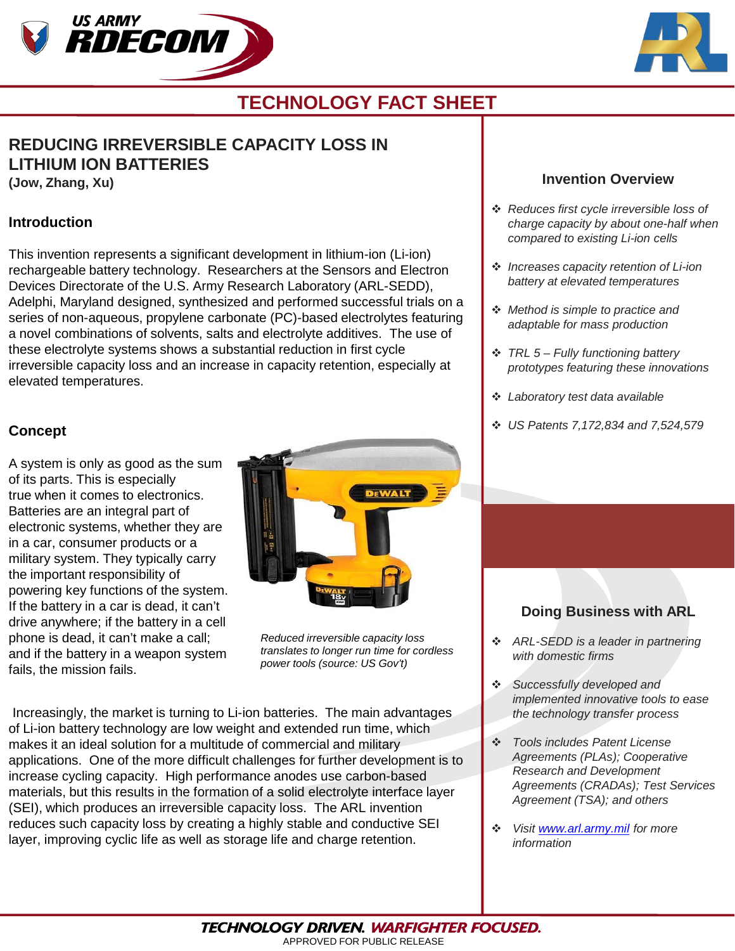



# **TECHNOLOGY FACT SHEET**

# **REDUCING IRREVERSIBLE CAPACITY LOSS IN LITHIUM ION BATTERIES**

**(Jow, Zhang, Xu)**

#### **Introduction**

This invention represents a significant development in lithium-ion (Li-ion) rechargeable battery technology. Researchers at the Sensors and Electron Devices Directorate of the U.S. Army Research Laboratory (ARL-SEDD), Adelphi, Maryland designed, synthesized and performed successful trials on a series of non-aqueous, propylene carbonate (PC)-based electrolytes featuring a novel combinations of solvents, salts and electrolyte additives. The use of these electrolyte systems shows a substantial reduction in first cycle irreversible capacity loss and an increase in capacity retention, especially at elevated temperatures.

## **Concept**

A system is only as good as the sum of its parts. This is especially true when it comes to electronics. Batteries are an integral part of electronic systems, whether they are in a car, consumer products or a military system. They typically carry the important responsibility of powering key functions of the system. If the battery in a car is dead, it can't drive anywhere; if the battery in a cell phone is dead, it can't make a call; and if the battery in a weapon system fails, the mission fails.



*Reduced irreversible capacity loss translates to longer run time for cordless power tools (source: US Gov't)* 

Increasingly, the market is turning to Li-ion batteries. The main advantages of Li-ion battery technology are low weight and extended run time, which makes it an ideal solution for a multitude of commercial and military applications. One of the more difficult challenges for further development is to increase cycling capacity. High performance anodes use carbon-based materials, but this results in the formation of a solid electrolyte interface layer (SEI), which produces an irreversible capacity loss. The ARL invention reduces such capacity loss by creating a highly stable and conductive SEI layer, improving cyclic life as well as storage life and charge retention.

#### **Invention Overview**

- *Reduces first cycle irreversible loss of charge capacity by about one-half when compared to existing Li-ion cells*
- *Increases capacity retention of Li-ion battery at elevated temperatures*
- *Method is simple to practice and adaptable for mass production*
- *TRL 5 – Fully functioning battery prototypes featuring these innovations*
- *Laboratory test data available*
- *US Patents 7,172,834 and 7,524,579*

## **Doing Business with ARL**

- *ARL-SEDD is a leader in partnering with domestic firms*
- *Successfully developed and implemented innovative tools to ease the technology transfer process*
- *Tools includes Patent License Agreements (PLAs); Cooperative Research and Development Agreements (CRADAs); Test Services Agreement (TSA); and others*
- *Visit [www.arl.army.mil](http://www.arl.army.mil/) for more information*